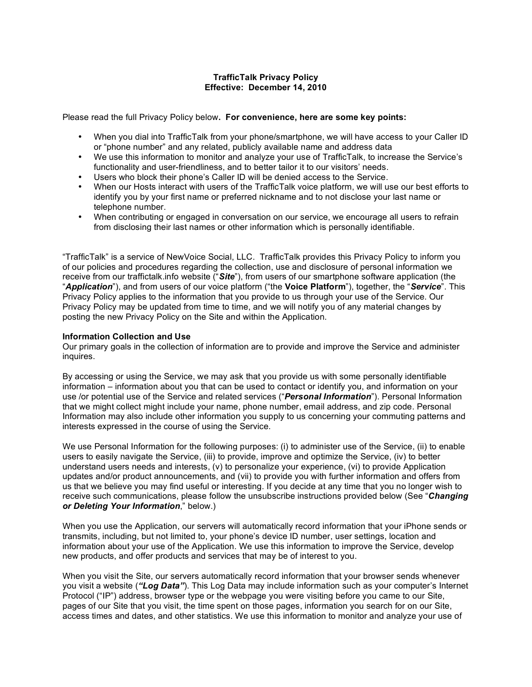# **TrafficTalk Privacy Policy Effective: December 14, 2010**

Please read the full Privacy Policy below**. For convenience, here are some key points:**

- When you dial into TrafficTalk from your phone/smartphone, we will have access to your Caller ID or "phone number" and any related, publicly available name and address data
- We use this information to monitor and analyze your use of TrafficTalk, to increase the Service's functionality and user-friendliness, and to better tailor it to our visitors' needs.
- Users who block their phone's Caller ID will be denied access to the Service.
- When our Hosts interact with users of the TrafficTalk voice platform, we will use our best efforts to identify you by your first name or preferred nickname and to not disclose your last name or telephone number.
- When contributing or engaged in conversation on our service, we encourage all users to refrain from disclosing their last names or other information which is personally identifiable.

"TrafficTalk" is a service of NewVoice Social, LLC. TrafficTalk provides this Privacy Policy to inform you of our policies and procedures regarding the collection, use and disclosure of personal information we receive from our traffictalk.info website ("*Site*"), from users of our smartphone software application (the "*Application*"), and from users of our voice platform ("the **Voice Platform**"), together, the "*Service*". This Privacy Policy applies to the information that you provide to us through your use of the Service. Our Privacy Policy may be updated from time to time, and we will notify you of any material changes by posting the new Privacy Policy on the Site and within the Application.

# **Information Collection and Use**

Our primary goals in the collection of information are to provide and improve the Service and administer inquires.

By accessing or using the Service, we may ask that you provide us with some personally identifiable information – information about you that can be used to contact or identify you, and information on your use /or potential use of the Service and related services ("*Personal Information*"). Personal Information that we might collect might include your name, phone number, email address, and zip code. Personal Information may also include other information you supply to us concerning your commuting patterns and interests expressed in the course of using the Service.

We use Personal Information for the following purposes: (i) to administer use of the Service, (ii) to enable users to easily navigate the Service, (iii) to provide, improve and optimize the Service, (iv) to better understand users needs and interests, (v) to personalize your experience, (vi) to provide Application updates and/or product announcements, and (vii) to provide you with further information and offers from us that we believe you may find useful or interesting. If you decide at any time that you no longer wish to receive such communications, please follow the unsubscribe instructions provided below (See "*Changing or Deleting Your Information*," below.)

When you use the Application, our servers will automatically record information that your iPhone sends or transmits, including, but not limited to, your phone's device ID number, user settings, location and information about your use of the Application. We use this information to improve the Service, develop new products, and offer products and services that may be of interest to you.

When you visit the Site, our servers automatically record information that your browser sends whenever you visit a website (*"Log Data"*). This Log Data may include information such as your computer's Internet Protocol ("IP") address, browser type or the webpage you were visiting before you came to our Site, pages of our Site that you visit, the time spent on those pages, information you search for on our Site, access times and dates, and other statistics. We use this information to monitor and analyze your use of